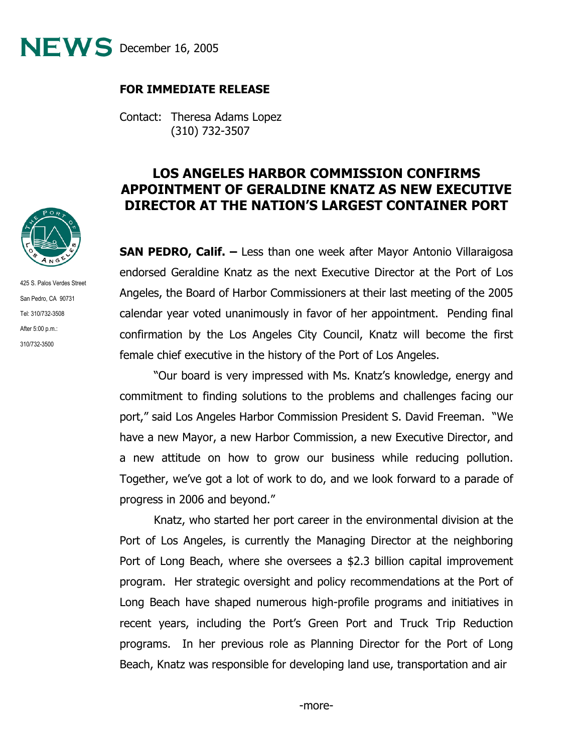

## **FOR IMMEDIATE RELEASE**

Contact: Theresa Adams Lopez (310) 732-3507

## **LOS ANGELES HARBOR COMMISSION CONFIRMS APPOINTMENT OF GERALDINE KNATZ AS NEW EXECUTIVE DIRECTOR AT THE NATION'S LARGEST CONTAINER PORT**

**SAN PEDRO, Calif. –** Less than one week after Mayor Antonio Villaraigosa endorsed Geraldine Knatz as the next Executive Director at the Port of Los Angeles, the Board of Harbor Commissioners at their last meeting of the 2005 calendar year voted unanimously in favor of her appointment. Pending final confirmation by the Los Angeles City Council, Knatz will become the first female chief executive in the history of the Port of Los Angeles.

 "Our board is very impressed with Ms. Knatz's knowledge, energy and commitment to finding solutions to the problems and challenges facing our port," said Los Angeles Harbor Commission President S. David Freeman. "We have a new Mayor, a new Harbor Commission, a new Executive Director, and a new attitude on how to grow our business while reducing pollution. Together, we've got a lot of work to do, and we look forward to a parade of progress in 2006 and beyond."

 Knatz, who started her port career in the environmental division at the Port of Los Angeles, is currently the Managing Director at the neighboring Port of Long Beach, where she oversees a \$2.3 billion capital improvement program. Her strategic oversight and policy recommendations at the Port of Long Beach have shaped numerous high-profile programs and initiatives in recent years, including the Port's Green Port and Truck Trip Reduction programs. In her previous role as Planning Director for the Port of Long Beach, Knatz was responsible for developing land use, transportation and air



425 S. Palos Verdes Street San Pedro, CA 90731 Tel: 310/732-3508 After 5:00 p.m.: 310/732-3500